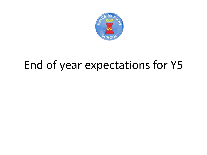

## End of year expectations for Y5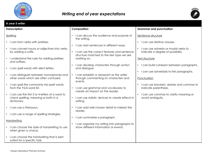

## *Writing end of year expectations*



| A year 5 writer                                                                                        |                                                                                              |                                                                          |
|--------------------------------------------------------------------------------------------------------|----------------------------------------------------------------------------------------------|--------------------------------------------------------------------------|
| <b>Transcription</b>                                                                                   | Composition                                                                                  | <b>Grammar and punctuation</b>                                           |
| Spelling                                                                                               | I can discuss the audience and purpose of<br>the writing.                                    | Sentence structure                                                       |
| • I can form verbs with prefixes.                                                                      | I can start sentences in different ways.                                                     | • I can use relative clauses.                                            |
| I can convert nouns or adjectives into verbs<br>$\bullet$<br>by adding a suffix.                       | I can use the correct features and sentence<br>structure matched to the text type we are     | I can use adverbs or modal verbs to<br>indicate a degree of possibility. |
| I understand the rules for adding prefixes<br>$\bullet$<br>and suffixes.                               | working on.                                                                                  | Text structure                                                           |
| I can spell words with silent letters.<br>$\bullet$                                                    | I can develop characters through action<br>and dialogue.                                     | • I can build cohesion between paragraphs.                               |
| I can distinguish between homophones and<br>$\bullet$<br>other words which are often confused.         | I can establish a viewpoint as the writer<br>through commenting on characters and<br>events. | • I can use adverbials to link paragraphs.<br>Punctuation                |
| I can spell the commonly mis-spelt words<br>$\bullet$<br>from the Y5/6 word list.                      | I can use grammar and vocabulary to<br>create an impact on the reader.                       | • I can use brackets, dashes and commas to<br>indicate parenthesis.      |
| I can use the first 3 or 4 letters of a word to<br>check spelling, meaning or both in a<br>dictionary. | I can use stylistic devices to create effects in<br>writing.                                 | • I can use commas to clarify meaning or<br>avoid ambiguity.             |
| I can use a thesaurus.                                                                                 | I can add well chosen detail to interest the<br>reader.                                      |                                                                          |
| I can use a range of spelling strategies.<br>$\bullet$                                                 | I can summarise a paragraph.                                                                 |                                                                          |
| Handwriting                                                                                            | I can organise my writing into paragraphs to                                                 |                                                                          |
| I can choose the style of handwriting to use<br>when given a choice.                                   | show different information or events.                                                        |                                                                          |
| I can choose the handwriting that is best<br>suited for a specific task.                               |                                                                                              |                                                                          |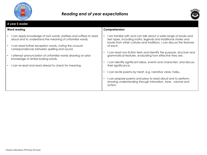



| A year 5 reader                                                                                                                                                                                                                                                                                                                                                                                      |                                                                                                                                                                                                                                                                                                                                                                                                                                                                                                                                                                                                                                                                        |  |
|------------------------------------------------------------------------------------------------------------------------------------------------------------------------------------------------------------------------------------------------------------------------------------------------------------------------------------------------------------------------------------------------------|------------------------------------------------------------------------------------------------------------------------------------------------------------------------------------------------------------------------------------------------------------------------------------------------------------------------------------------------------------------------------------------------------------------------------------------------------------------------------------------------------------------------------------------------------------------------------------------------------------------------------------------------------------------------|--|
| <b>Word reading</b>                                                                                                                                                                                                                                                                                                                                                                                  | Comprehension                                                                                                                                                                                                                                                                                                                                                                                                                                                                                                                                                                                                                                                          |  |
| I can apply knowledge of root words, prefixes and suffixes to read<br>aloud and to understand the meaning of unfamiliar words.<br>I can read further exception words, noting the unusual<br>correspondences between spelling and sound.<br>I attempt pronunciation of unfamiliar words drawing on prior<br>knowledge of similar looking words.<br>I can re-read and read ahead to check for meaning. | I am familiar with and can talk about a wide range of books and<br>text types, including myths, legends and traditional stories and<br>books from other cultures and traditions. I can discuss the features<br>of each.<br>can read non-fiction texts and identify the purpose, structure and<br>$\bullet$<br>grammatical features, evaluating how effective they are.<br>can identify significant ideas, events and characters; and discuss<br>their significance.<br>can recite poems by heart, e.g. narrative verse, haiku.<br>I can prepare poems and plays to read aloud and to perform,<br>showing understanding through intonation, tone, volume and<br>action. |  |
|                                                                                                                                                                                                                                                                                                                                                                                                      |                                                                                                                                                                                                                                                                                                                                                                                                                                                                                                                                                                                                                                                                        |  |